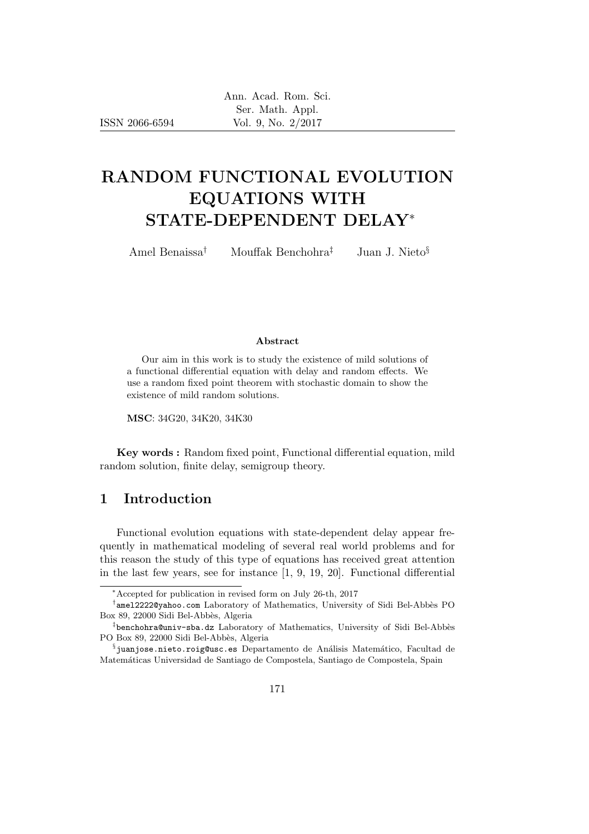ISSN 2066-6594

# RANDOM FUNCTIONAL EVOLUTION EQUATIONS WITH STATE-DEPENDENT DELAY<sup>∗</sup>

Amel Benaissa† Mouffak Benchohra‡ Juan J. Nieto§

#### Abstract

Our aim in this work is to study the existence of mild solutions of a functional differential equation with delay and random effects. We use a random fixed point theorem with stochastic domain to show the existence of mild random solutions.

MSC: 34G20, 34K20, 34K30

Key words : Random fixed point, Functional differential equation, mild random solution, finite delay, semigroup theory.

# 1 Introduction

Functional evolution equations with state-dependent delay appear frequently in mathematical modeling of several real world problems and for this reason the study of this type of equations has received great attention in the last few years, see for instance [1, 9, 19, 20]. Functional differential

<sup>∗</sup>Accepted for publication in revised form on July 26-th, 2017

<sup>†</sup>ame12222@yahoo.com Laboratory of Mathematics, University of Sidi Bel-Abbès PO Box 89, 22000 Sidi Bel-Abbès, Algeria

<sup>&</sup>lt;sup>‡</sup>benchohra@univ-sba.dz Laboratory of Mathematics, University of Sidi Bel-Abbès PO Box 89, 22000 Sidi Bel-Abbès, Algeria

 $\S$ juanjose.nieto.roig@usc.es Departamento de Análisis Matemático, Facultad de Matem´aticas Universidad de Santiago de Compostela, Santiago de Compostela, Spain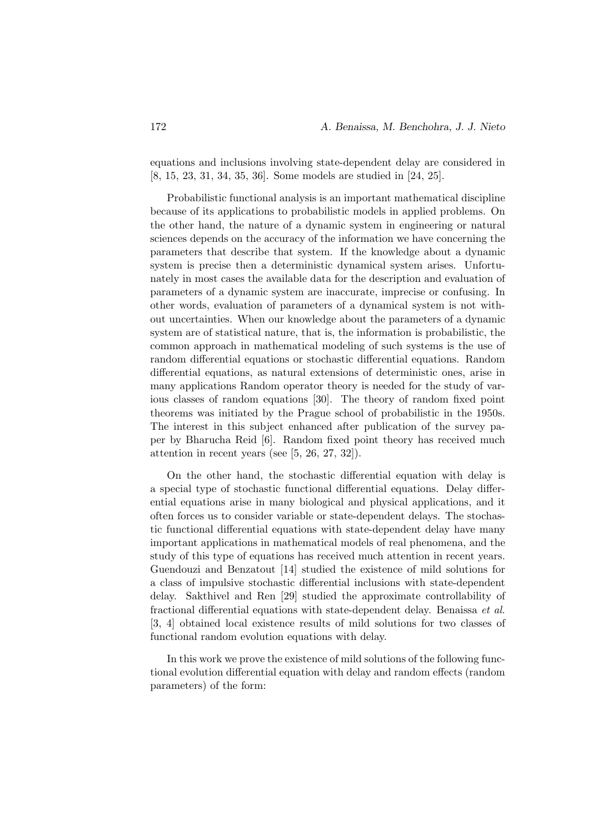equations and inclusions involving state-dependent delay are considered in [8, 15, 23, 31, 34, 35, 36]. Some models are studied in [24, 25].

Probabilistic functional analysis is an important mathematical discipline because of its applications to probabilistic models in applied problems. On the other hand, the nature of a dynamic system in engineering or natural sciences depends on the accuracy of the information we have concerning the parameters that describe that system. If the knowledge about a dynamic system is precise then a deterministic dynamical system arises. Unfortunately in most cases the available data for the description and evaluation of parameters of a dynamic system are inaccurate, imprecise or confusing. In other words, evaluation of parameters of a dynamical system is not without uncertainties. When our knowledge about the parameters of a dynamic system are of statistical nature, that is, the information is probabilistic, the common approach in mathematical modeling of such systems is the use of random differential equations or stochastic differential equations. Random differential equations, as natural extensions of deterministic ones, arise in many applications Random operator theory is needed for the study of various classes of random equations [30]. The theory of random fixed point theorems was initiated by the Prague school of probabilistic in the 1950s. The interest in this subject enhanced after publication of the survey paper by Bharucha Reid [6]. Random fixed point theory has received much attention in recent years (see [5, 26, 27, 32]).

On the other hand, the stochastic differential equation with delay is a special type of stochastic functional differential equations. Delay differential equations arise in many biological and physical applications, and it often forces us to consider variable or state-dependent delays. The stochastic functional differential equations with state-dependent delay have many important applications in mathematical models of real phenomena, and the study of this type of equations has received much attention in recent years. Guendouzi and Benzatout [14] studied the existence of mild solutions for a class of impulsive stochastic differential inclusions with state-dependent delay. Sakthivel and Ren [29] studied the approximate controllability of fractional differential equations with state-dependent delay. Benaissa et al. [3, 4] obtained local existence results of mild solutions for two classes of functional random evolution equations with delay.

In this work we prove the existence of mild solutions of the following functional evolution differential equation with delay and random effects (random parameters) of the form: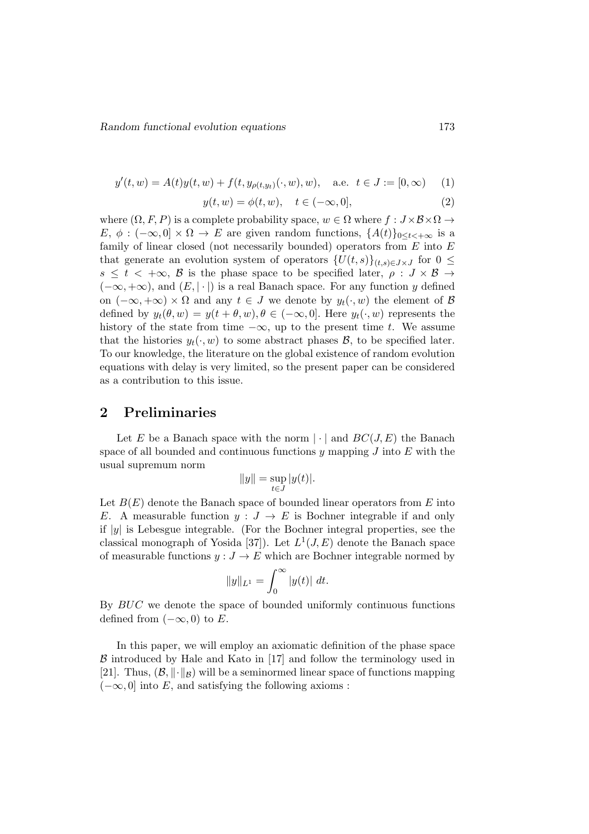$$
y'(t, w) = A(t)y(t, w) + f(t, y_{\rho(t, y_t)}(\cdot, w), w), \quad \text{a.e. } t \in J := [0, \infty)
$$
 (1)

$$
y(t, w) = \phi(t, w), \quad t \in (-\infty, 0], \tag{2}
$$

where  $(\Omega, F, P)$  is a complete probability space,  $w \in \Omega$  where  $f : J \times \mathcal{B} \times \Omega \rightarrow$ E,  $\phi: (-\infty, 0] \times \Omega \to E$  are given random functions,  $\{A(t)\}_{0 \leq t \leq +\infty}$  is a family of linear closed (not necessarily bounded) operators from  $E$  into  $E$ that generate an evolution system of operators  $\{U(t, s)\}_{(t, s) \in J \times J}$  for  $0 \leq$  $s \leq t < +\infty$ , B is the phase space to be specified later,  $\rho : J \times B \rightarrow$  $(-\infty, +\infty)$ , and  $(E, |\cdot|)$  is a real Banach space. For any function y defined on  $(-\infty, +\infty) \times \Omega$  and any  $t \in J$  we denote by  $y_t(\cdot, w)$  the element of  $\beta$ defined by  $y_t(\theta, w) = y(t + \theta, w), \theta \in (-\infty, 0]$ . Here  $y_t(\cdot, w)$  represents the history of the state from time  $-\infty$ , up to the present time t. We assume that the histories  $y_t(\cdot, w)$  to some abstract phases  $\mathcal{B}$ , to be specified later. To our knowledge, the literature on the global existence of random evolution equations with delay is very limited, so the present paper can be considered as a contribution to this issue.

# 2 Preliminaries

Let E be a Banach space with the norm  $|\cdot|$  and  $BC(J, E)$  the Banach space of all bounded and continuous functions y mapping  $J$  into  $E$  with the usual supremum norm

$$
||y|| = \sup_{t \in J} |y(t)|.
$$

Let  $B(E)$  denote the Banach space of bounded linear operators from E into E. A measurable function  $y: J \to E$  is Bochner integrable if and only if  $|y|$  is Lebesgue integrable. (For the Bochner integral properties, see the classical monograph of Yosida [37]). Let  $L^1(J, E)$  denote the Banach space of measurable functions  $y: J \to E$  which are Bochner integrable normed by

$$
||y||_{L^1} = \int_0^\infty |y(t)| \, dt.
$$

By BUC we denote the space of bounded uniformly continuous functions defined from  $(-\infty, 0)$  to E.

In this paper, we will employ an axiomatic definition of the phase space  $\beta$  introduced by Hale and Kato in [17] and follow the terminology used in [21]. Thus,  $(\mathcal{B}, \|\cdot\|_{\mathcal{B}})$  will be a seminormed linear space of functions mapping  $(-\infty, 0]$  into E, and satisfying the following axioms :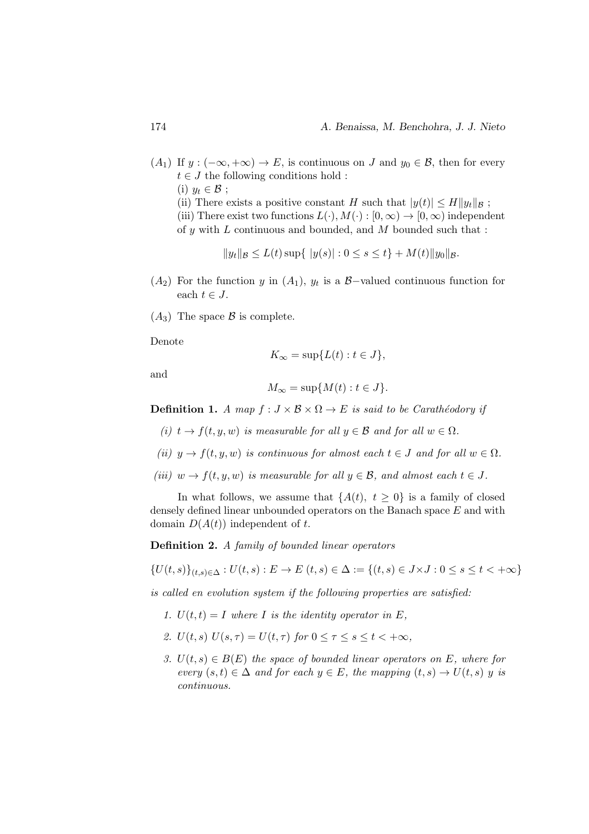$(A_1)$  If  $y: (-\infty, +\infty) \to E$ , is continuous on J and  $y_0 \in \mathcal{B}$ , then for every  $t \in J$  the following conditions hold : (i)  $y_t \in \mathcal{B}$ ; (ii) There exists a positive constant H such that  $|y(t)| \le H ||y_t||_B$ ; (iii) There exist two functions  $L(\cdot), M(\cdot) : [0, \infty) \to [0, \infty)$  independent of y with  $L$  continuous and bounded, and  $M$  bounded such that :

$$
||y_t||_{\mathcal{B}} \le L(t) \sup \{ |y(s)| : 0 \le s \le t \} + M(t) ||y_0||_{\mathcal{B}}.
$$

- $(A_2)$  For the function y in  $(A_1)$ ,  $y_t$  is a B-valued continuous function for each  $t \in J$ .
- $(A_3)$  The space  $\beta$  is complete.

Denote

$$
K_{\infty} = \sup \{ L(t) : t \in J \},\
$$

and

$$
M_{\infty} = \sup \{ M(t) : t \in J \}.
$$

**Definition 1.** A map  $f : J \times B \times \Omega \to E$  is said to be Carathéodory if

- (i)  $t \to f(t, y, w)$  is measurable for all  $y \in \mathcal{B}$  and for all  $w \in \Omega$ .
- (ii)  $y \to f(t, y, w)$  is continuous for almost each  $t \in J$  and for all  $w \in \Omega$ .
- (iii)  $w \to f(t, y, w)$  is measurable for all  $y \in \mathcal{B}$ , and almost each  $t \in J$ .

In what follows, we assume that  $\{A(t), t \geq 0\}$  is a family of closed densely defined linear unbounded operators on the Banach space E and with domain  $D(A(t))$  independent of t.

Definition 2. A family of bounded linear operators

$$
\{U(t,s)\}_{(t,s)\in\Delta}: U(t,s): E \to E(t,s) \in \Delta := \{(t,s) \in J \times J : 0 \le s \le t < +\infty\}
$$

is called en evolution system if the following properties are satisfied:

- 1.  $U(t,t) = I$  where I is the identity operator in E,
- 2.  $U(t, s) U(s, \tau) = U(t, \tau)$  for  $0 \leq \tau \leq s \leq t \leq +\infty$ ,
- 3.  $U(t, s) \in B(E)$  the space of bounded linear operators on E, where for every  $(s, t) \in \Delta$  and for each  $y \in E$ , the mapping  $(t, s) \to U(t, s)$  y is continuous.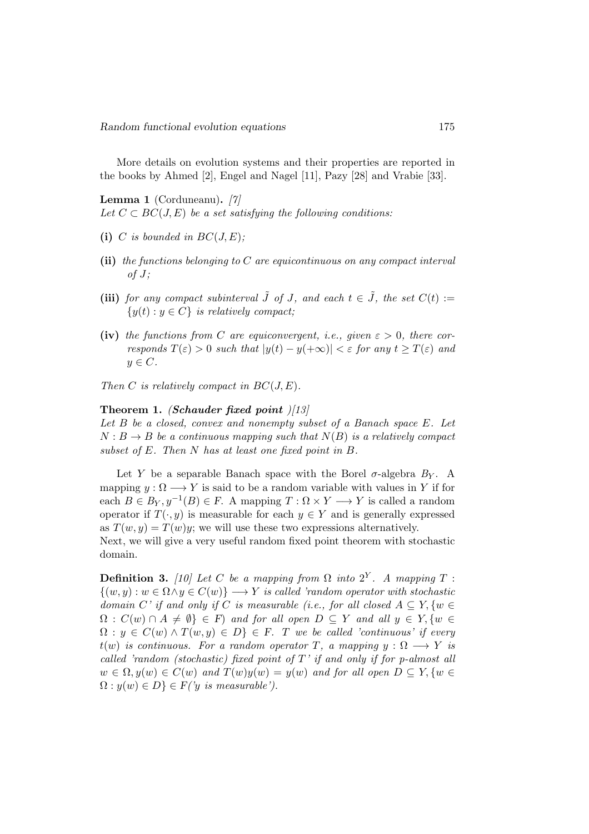More details on evolution systems and their properties are reported in the books by Ahmed [2], Engel and Nagel [11], Pazy [28] and Vrabie [33].

Lemma 1 (Corduneanu). [7] Let  $C \subset BC(J, E)$  be a set satisfying the following conditions:

- (i) C is bounded in  $BC(J, E)$ ;
- (ii) the functions belonging to  $C$  are equicontinuous on any compact interval  $of J;$
- (iii) for any compact subinterval  $\tilde{J}$  of J, and each  $t \in \tilde{J}$ , the set  $C(t) :=$  ${y(t): y \in C}$  is relatively compact;
- (iv) the functions from C are equiconvergent, i.e., given  $\varepsilon > 0$ , there corresponds  $T(\varepsilon) > 0$  such that  $|y(t) - y(+\infty)| < \varepsilon$  for any  $t \geq T(\varepsilon)$  and  $y \in C$ .

Then C is relatively compact in  $BC(J, E)$ .

#### Theorem 1. (Schauder fixed point  $|13|$

Let B be a closed, convex and nonempty subset of a Banach space E. Let  $N : B \to B$  be a continuous mapping such that  $N(B)$  is a relatively compact subset of E. Then N has at least one fixed point in B.

Let Y be a separable Banach space with the Borel  $\sigma$ -algebra  $B_y$ . A mapping  $y : \Omega \longrightarrow Y$  is said to be a random variable with values in Y if for each  $B \in B_Y, y^{-1}(B) \in F$ . A mapping  $T : \Omega \times Y \longrightarrow Y$  is called a random operator if  $T(\cdot, y)$  is measurable for each  $y \in Y$  and is generally expressed as  $T(w, y) = T(w)y$ ; we will use these two expressions alternatively.

Next, we will give a very useful random fixed point theorem with stochastic domain.

**Definition 3.** [10] Let C be a mapping from  $\Omega$  into  $2^Y$ . A mapping T :  $\{(w, y) : w \in \Omega \land y \in C(w)\} \longrightarrow Y$  is called 'random operator with stochastic domain C' if and only if C is measurable (i.e., for all closed  $A \subseteq Y$ ,  $\{w \in Y\}$  $\Omega : C(w) \cap A \neq \emptyset$   $\in$  F) and for all open  $D \subseteq Y$  and all  $y \in Y$ ,  $\{w \in Y\}$  $\Omega: y \in C(w) \wedge T(w, y) \in D$   $\in F$ . T we be called 'continuous' if every  $t(w)$  is continuous. For a random operator T, a mapping  $y : \Omega \longrightarrow Y$  is called 'random (stochastic) fixed point of  $T'$  if and only if for p-almost all  $w \in \Omega, y(w) \in C(w)$  and  $T(w)y(w) = y(w)$  and for all open  $D \subseteq Y, \{w \in$  $\Omega : y(w) \in D$   $\in F(y$  is measurable').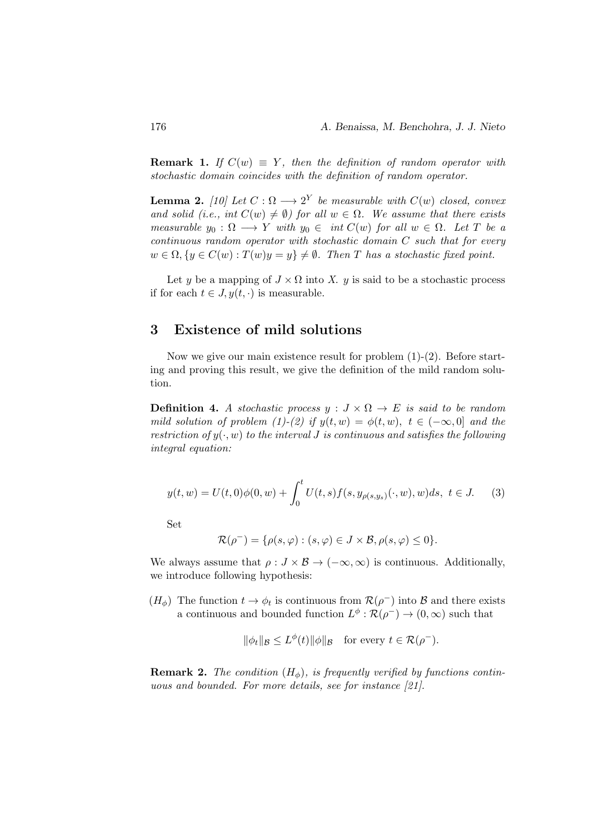**Remark 1.** If  $C(w) \equiv Y$ , then the definition of random operator with stochastic domain coincides with the definition of random operator.

**Lemma 2.** [10] Let  $C: \Omega \longrightarrow 2^Y$  be measurable with  $C(w)$  closed, convex and solid (i.e., int  $C(w) \neq \emptyset$ ) for all  $w \in \Omega$ . We assume that there exists measurable  $y_0 : \Omega \longrightarrow Y$  with  $y_0 \in \text{int } C(w)$  for all  $w \in \Omega$ . Let T be a continuous random operator with stochastic domain C such that for every  $w \in \Omega, \{y \in C(w) : T(w)y = y\} \neq \emptyset$ . Then T has a stochastic fixed point.

Let y be a mapping of  $J \times \Omega$  into X. y is said to be a stochastic process if for each  $t \in J$ ,  $y(t, \cdot)$  is measurable.

# 3 Existence of mild solutions

Now we give our main existence result for problem (1)-(2). Before starting and proving this result, we give the definition of the mild random solution.

**Definition 4.** A stochastic process  $y : J \times \Omega \to E$  is said to be random mild solution of problem (1)-(2) if  $y(t, w) = \phi(t, w)$ ,  $t \in (-\infty, 0]$  and the restriction of  $y(\cdot, w)$  to the interval J is continuous and satisfies the following integral equation:

$$
y(t, w) = U(t, 0)\phi(0, w) + \int_0^t U(t, s)f(s, y_{\rho(s, y_s)}(\cdot, w), w)ds, \ t \in J. \tag{3}
$$

Set

$$
\mathcal{R}(\rho^-) = \{ \rho(s, \varphi) : (s, \varphi) \in J \times \mathcal{B}, \rho(s, \varphi) \leq 0 \}.
$$

We always assume that  $\rho: J \times B \to (-\infty, \infty)$  is continuous. Additionally, we introduce following hypothesis:

 $(H_{\phi})$  The function  $t \to \phi_t$  is continuous from  $\mathcal{R}(\rho^-)$  into  $\mathcal{B}$  and there exists a continuous and bounded function  $L^{\phi} : \mathcal{R}(\rho^-) \to (0, \infty)$  such that

$$
\|\phi_t\|_{\mathcal{B}} \le L^{\phi}(t) \|\phi\|_{\mathcal{B}} \quad \text{for every } t \in \mathcal{R}(\rho^-).
$$

**Remark 2.** The condition  $(H_{\phi})$ , is frequently verified by functions continuous and bounded. For more details, see for instance [21].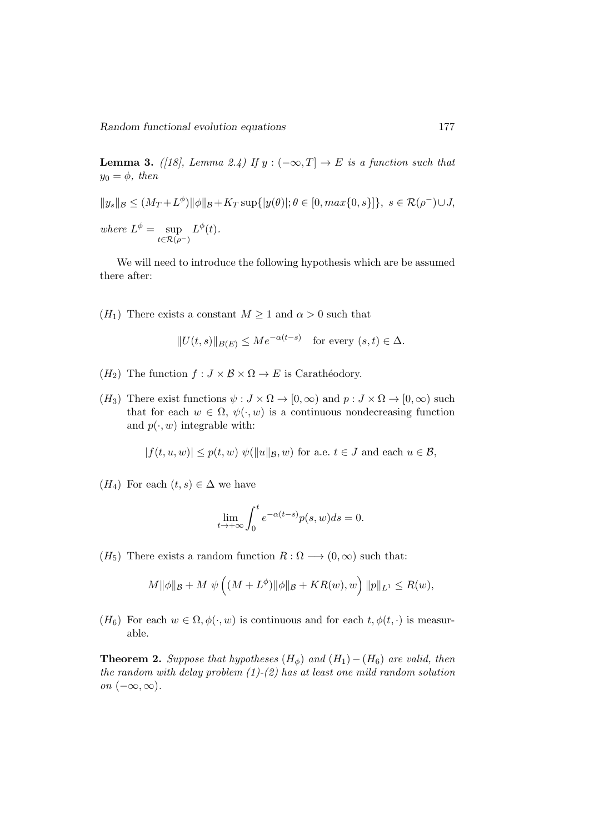Random functional evolution equations 177

**Lemma 3.** ([18], Lemma 2.4) If  $y : (-\infty, T] \rightarrow E$  is a function such that  $y_0 = \phi$ , then

$$
||y_s||_{\mathcal{B}} \le (M_T + L^{\phi}) ||\phi||_{\mathcal{B}} + K_T \sup\{|y(\theta)|; \theta \in [0, \max\{0, s\}]\}, \ s \in \mathcal{R}(\rho^-) \cup J,
$$
  
where  $L^{\phi} = \sup_{t \in \mathcal{R}(\rho^-)} L^{\phi}(t)$ .

We will need to introduce the following hypothesis which are be assumed there after:

 $(H_1)$  There exists a constant  $M \geq 1$  and  $\alpha > 0$  such that

$$
||U(t,s)||_{B(E)} \le Me^{-\alpha(t-s)} \quad \text{for every } (s,t) \in \Delta.
$$

- $(H_2)$  The function  $f : J \times \mathcal{B} \times \Omega \to E$  is Carathéodory.
- $(H_3)$  There exist functions  $\psi : J \times \Omega \to [0, \infty)$  and  $p : J \times \Omega \to [0, \infty)$  such that for each  $w \in \Omega$ ,  $\psi(\cdot, w)$  is a continuous nondecreasing function and  $p(\cdot, w)$  integrable with:

 $|f(t, u, w)| \leq p(t, w) \psi(||u||_B, w)$  for a.e.  $t \in J$  and each  $u \in \mathcal{B}$ ,

 $(H_4)$  For each  $(t, s) \in \Delta$  we have

$$
\lim_{t \to +\infty} \int_0^t e^{-\alpha(t-s)} p(s, w) ds = 0.
$$

 $(H_5)$  There exists a random function  $R : \Omega \longrightarrow (0, \infty)$  such that:

$$
M||\phi||_{\mathcal{B}} + M \psi \left( (M + L^{\phi}) ||\phi||_{\mathcal{B}} + KR(w), w \right) ||p||_{L^{1}} \le R(w),
$$

 $(H_6)$  For each  $w \in \Omega, \phi(\cdot, w)$  is continuous and for each  $t, \phi(t, \cdot)$  is measurable.

**Theorem 2.** Suppose that hypotheses  $(H_{\phi})$  and  $(H_1) - (H_6)$  are valid, then the random with delay problem  $(1)-(2)$  has at least one mild random solution on  $(-\infty, \infty)$ .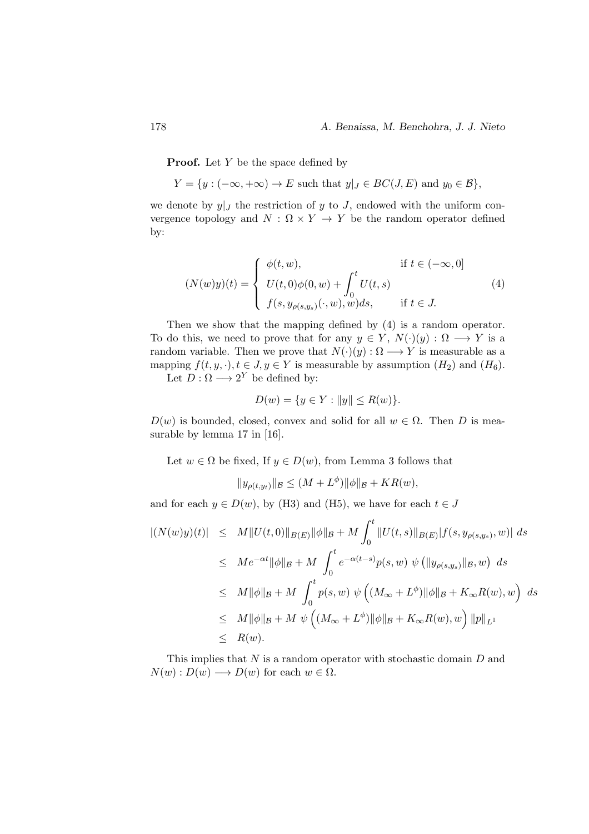**Proof.** Let  $Y$  be the space defined by

 $Y = \{y : (-\infty, +\infty) \to E \text{ such that } y|_J \in BC(J, E) \text{ and } y_0 \in \mathcal{B}\},\$ 

we denote by  $y|_J$  the restriction of y to J, endowed with the uniform convergence topology and  $N : \Omega \times Y \to Y$  be the random operator defined by:

$$
(N(w)y)(t) = \begin{cases} \phi(t, w), & \text{if } t \in (-\infty, 0] \\ U(t, 0)\phi(0, w) + \int_0^t U(t, s) \\ f(s, y_{\rho(s, y_s)}(\cdot, w), w)ds, & \text{if } t \in J. \end{cases}
$$
(4)

Then we show that the mapping defined by (4) is a random operator. To do this, we need to prove that for any  $y \in Y$ ,  $N(\cdot)(y) : \Omega \longrightarrow Y$  is a random variable. Then we prove that  $N(\cdot)(y): \Omega \longrightarrow Y$  is measurable as a mapping  $f(t, y, \cdot), t \in J, y \in Y$  is measurable by assumption  $(H_2)$  and  $(H_6)$ .

Let  $D: \Omega \longrightarrow 2^Y$  be defined by:

$$
D(w) = \{ y \in Y : ||y|| \le R(w) \}.
$$

 $D(w)$  is bounded, closed, convex and solid for all  $w \in \Omega$ . Then D is measurable by lemma 17 in [16].

Let  $w \in \Omega$  be fixed, If  $y \in D(w)$ , from Lemma 3 follows that

$$
||y_{\rho(t,y_t)}||_{\mathcal{B}} \le (M + L^{\phi}) ||\phi||_{\mathcal{B}} + KR(w),
$$

and for each  $y \in D(w)$ , by (H3) and (H5), we have for each  $t \in J$ 

$$
\begin{aligned} |(N(w)y)(t)| &\leq M \|U(t,0)\|_{B(E)} \|\phi\|_{\mathcal{B}} + M \int_0^t \|U(t,s)\|_{B(E)} |f(s,y_{\rho(s,y_s)},w)| \, ds \\ &\leq M e^{-\alpha t} \|\phi\|_{\mathcal{B}} + M \int_0^t e^{-\alpha(t-s)} p(s,w) \, \psi\left(\|y_{\rho(s,y_s)}\|_{\mathcal{B}},w\right) \, ds \\ &\leq M \|\phi\|_{\mathcal{B}} + M \int_0^t p(s,w) \, \psi\left((M_\infty + L^\phi)\|\phi\|_{\mathcal{B}} + K_\infty R(w),w\right) \, ds \\ &\leq M \|\phi\|_{\mathcal{B}} + M \, \psi\left((M_\infty + L^\phi)\|\phi\|_{\mathcal{B}} + K_\infty R(w),w\right) \|p\|_{L^1} \\ &\leq R(w). \end{aligned}
$$

This implies that  $N$  is a random operator with stochastic domain  $D$  and  $N(w): D(w) \longrightarrow D(w)$  for each  $w \in \Omega$ .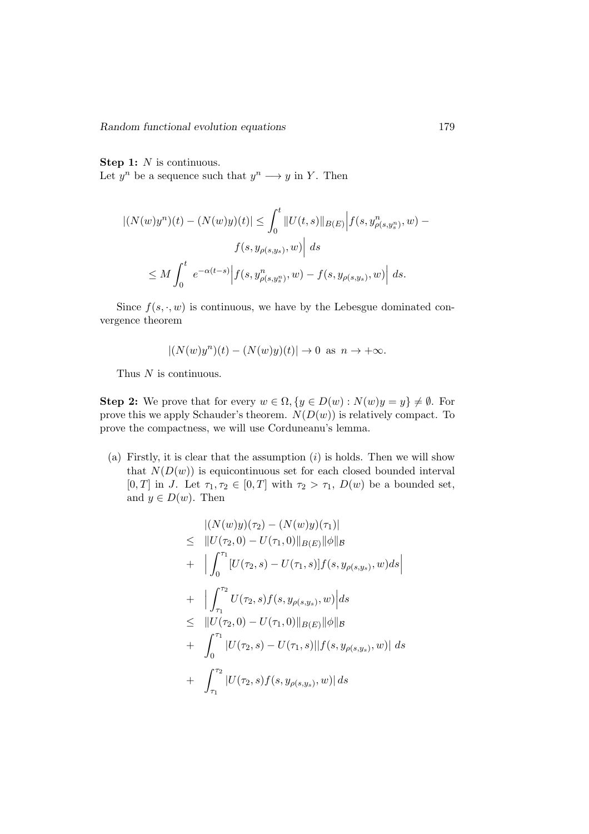Random functional evolution equations 179

#### Step 1: N is continuous.

Let  $y^n$  be a sequence such that  $y^n \longrightarrow y$  in Y. Then

$$
|(N(w)y^{n})(t) - (N(w)y)(t)| \leq \int_{0}^{t} ||U(t,s)||_{B(E)} |f(s, y^{n}_{\rho(s,y^{n}_{s})}, w) - f(s, y_{\rho(s,y_{s})}, w)| ds
$$
  

$$
\leq M \int_{0}^{t} e^{-\alpha(t-s)} |f(s, y^{n}_{\rho(s,y^{n}_{s})}, w) - f(s, y_{\rho(s,y_{s})}, w)| ds.
$$

Since  $f(s, \cdot, w)$  is continuous, we have by the Lebesgue dominated convergence theorem

$$
|(N(w)y^{n})(t) - (N(w)y)(t)| \rightarrow 0 \text{ as } n \rightarrow +\infty.
$$

Thus  $N$  is continuous.

**Step 2:** We prove that for every  $w \in \Omega$ ,  $\{y \in D(w) : N(w)y = y\} \neq \emptyset$ . For prove this we apply Schauder's theorem.  $N(D(w))$  is relatively compact. To prove the compactness, we will use Corduneanu's lemma.

(a) Firstly, it is clear that the assumption  $(i)$  is holds. Then we will show that  $N(D(w))$  is equicontinuous set for each closed bounded interval [0, T] in J. Let  $\tau_1, \tau_2 \in [0, T]$  with  $\tau_2 > \tau_1$ ,  $D(w)$  be a bounded set, and  $y \in D(w)$ . Then

$$
\begin{aligned}\n&| (N(w)y)(\tau_2) - (N(w)y)(\tau_1)| \\
&\leq \|U(\tau_2, 0) - U(\tau_1, 0)\|_{B(E)} \|\phi\|_{\mathcal{B}} \\
&+ \left| \int_0^{\tau_1} [U(\tau_2, s) - U(\tau_1, s)] f(s, y_{\rho(s, y_s)}, w) ds \right| \\
&+ \left| \int_{\tau_1}^{\tau_2} U(\tau_2, s) f(s, y_{\rho(s, y_s)}, w) \right| ds \\
&\leq \|U(\tau_2, 0) - U(\tau_1, 0)\|_{B(E)} \|\phi\|_{\mathcal{B}} \\
&+ \left| \int_0^{\tau_1} |U(\tau_2, s) - U(\tau_1, s)| |f(s, y_{\rho(s, y_s)}, w)| ds \right| \\
&+ \left| \int_{\tau_1}^{\tau_2} |U(\tau_2, s) f(s, y_{\rho(s, y_s)}, w)| ds \right|\n\end{aligned}
$$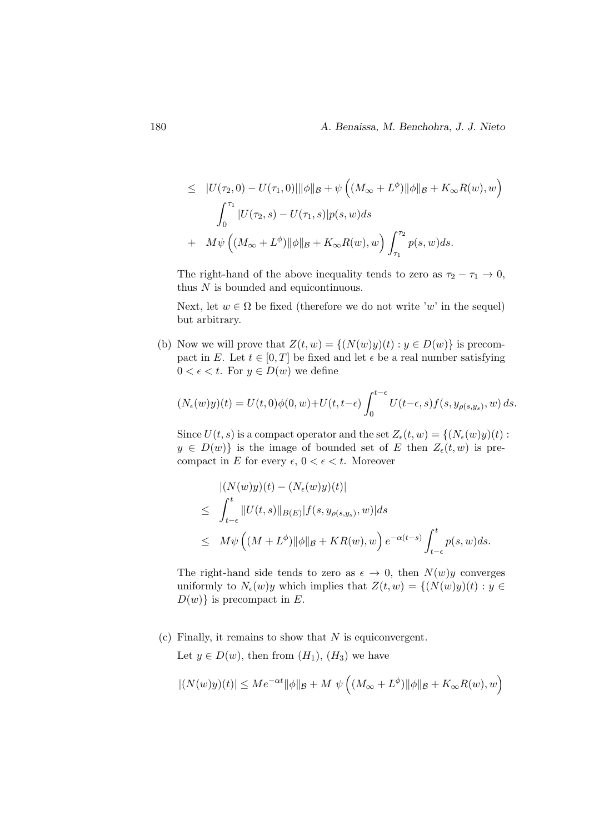$$
\leq |U(\tau_2, 0) - U(\tau_1, 0)||\phi||_B + \psi \left( (M_{\infty} + L^{\phi}) ||\phi||_B + K_{\infty} R(w), w \right)
$$
  

$$
\int_0^{\tau_1} |U(\tau_2, s) - U(\tau_1, s)| p(s, w) ds
$$
  

$$
+ M\psi \left( (M_{\infty} + L^{\phi}) ||\phi||_B + K_{\infty} R(w), w \right) \int_{\tau_1}^{\tau_2} p(s, w) ds.
$$

The right-hand of the above inequality tends to zero as  $\tau_2 - \tau_1 \to 0$ , thus  $N$  is bounded and equicontinuous.

Next, let  $w \in \Omega$  be fixed (therefore we do not write 'w' in the sequel) but arbitrary.

(b) Now we will prove that  $Z(t, w) = \{(N(w)y)(t) : y \in D(w)\}\)$  is precompact in E. Let  $t \in [0, T]$  be fixed and let  $\epsilon$  be a real number satisfying  $0 < \epsilon < t$ . For  $y \in D(w)$  we define

$$
(N_{\epsilon}(w)y)(t) = U(t,0)\phi(0,w) + U(t,t-\epsilon)\int_0^{t-\epsilon} U(t-\epsilon,s)f(s,y_{\rho(s,y_s)},w) ds.
$$

Since  $U(t, s)$  is a compact operator and the set  $Z_{\epsilon}(t, w) = \{(N_{\epsilon}(w)y)(t) :$  $y \in D(w)$  is the image of bounded set of E then  $Z_{\epsilon}(t, w)$  is precompact in E for every  $\epsilon$ ,  $0 < \epsilon < t$ . Moreover

$$
\begin{aligned} &\left| (N(w)y)(t) - (N_{\epsilon}(w)y)(t) \right| \\ &\leq \int_{t-\epsilon}^{t} \|U(t,s)\|_{B(E)} |f(s, y_{\rho(s,y_s)}, w)| ds \\ &\leq M\psi \left( (M + L^{\phi}) \|\phi\|_{\mathcal{B}} + KR(w), w \right) e^{-\alpha(t-s)} \int_{t-\epsilon}^{t} p(s, w) ds. \end{aligned}
$$

The right-hand side tends to zero as  $\epsilon \to 0$ , then  $N(w)y$  converges uniformly to  $N_{\epsilon}(w)y$  which implies that  $Z(t, w) = \{ (N(w)y)(t) : y \in$  $D(w)$  is precompact in E.

 $(c)$  Finally, it remains to show that N is equiconvergent.

Let  $y \in D(w)$ , then from  $(H_1)$ ,  $(H_3)$  we have

$$
|(N(w)y)(t)|\leq Me^{-\alpha t}\|\phi\|_{\mathcal{B}}+M\ \psi\left((M_{\infty}+L^\phi)\|\phi\|_{\mathcal{B}}+K_\infty R(w),w\right)
$$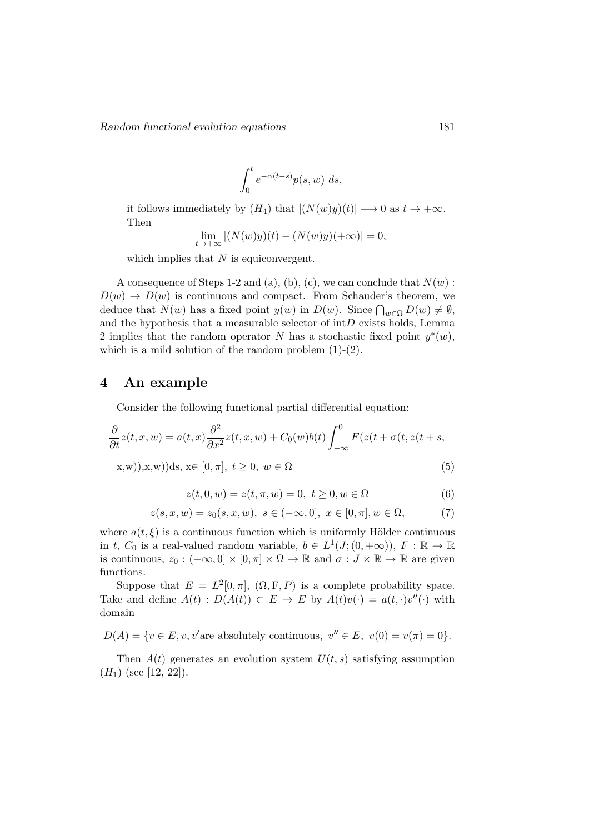$$
\int_0^t e^{-\alpha(t-s)} p(s, w) \ ds,
$$

it follows immediately by  $(H_4)$  that  $|(N(w)y)(t)| \rightarrow 0$  as  $t \rightarrow +\infty$ . Then

$$
\lim_{t \to +\infty} |(N(w)y)(t) - (N(w)y)(+\infty)| = 0,
$$

which implies that  $N$  is equiconvergent.

A consequence of Steps 1-2 and (a), (b), (c), we can conclude that  $N(w)$ :  $D(w) \rightarrow D(w)$  is continuous and compact. From Schauder's theorem, we deduce that  $N(w)$  has a fixed point  $y(w)$  in  $D(w)$ . Since  $\bigcap_{w\in\Omega}D(w)\neq\emptyset$ , and the hypothesis that a measurable selector of  $intD$  exists holds, Lemma 2 implies that the random operator N has a stochastic fixed point  $y^*(w)$ , which is a mild solution of the random problem  $(1)-(2)$ .

### 4 An example

Consider the following functional partial differential equation:

$$
\frac{\partial}{\partial t}z(t, x, w) = a(t, x)\frac{\partial^2}{\partial x^2}z(t, x, w) + C_0(w)b(t)\int_{-\infty}^0 F(z(t + \sigma(t, z(t + s, x, w)), x, w))ds, x \in [0, \pi], t \ge 0, w \in \Omega
$$
\n(5)

$$
z(t,0,w) = z(t,\pi,w) = 0, \ t \ge 0, w \in \Omega \tag{6}
$$

$$
z(s, x, w) = z_0(s, x, w), \ s \in (-\infty, 0], \ x \in [0, \pi], w \in \Omega,
$$
 (7)

where  $a(t, \xi)$  is a continuous function which is uniformly Hölder continuous in t,  $C_0$  is a real-valued random variable,  $b \in L^1(J; (0, +\infty)), F : \mathbb{R} \to \mathbb{R}$ is continuous,  $z_0 : (-\infty, 0] \times [0, \pi] \times \Omega \to \mathbb{R}$  and  $\sigma : J \times \mathbb{R} \to \mathbb{R}$  are given functions.

Suppose that  $E = L^2[0, \pi]$ ,  $(\Omega, F, P)$  is a complete probability space. Take and define  $A(t) : D(A(t)) \subset E \to E$  by  $A(t)v(\cdot) = a(t, \cdot)v''(\cdot)$  with domain

 $D(A) = \{v \in E, v, v'\text{are absolutely continuous}, v'' \in E, v(0) = v(\pi) = 0\}.$ 

Then  $A(t)$  generates an evolution system  $U(t, s)$  satisfying assumption  $(H<sub>1</sub>)$  (see [12, 22]).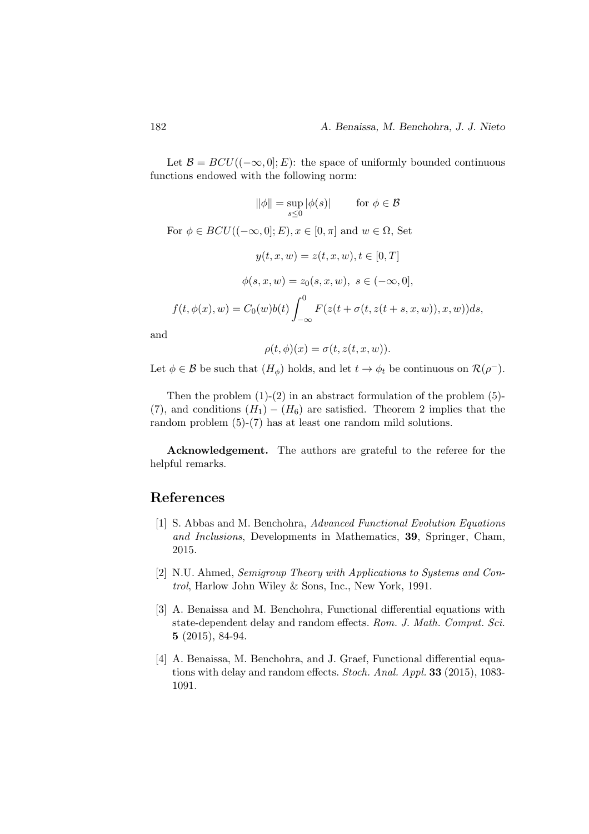Let  $\mathcal{B} = BCU((-\infty, 0]; E)$ : the space of uniformly bounded continuous functions endowed with the following norm:

$$
\|\phi\| = \sup_{s \le 0} |\phi(s)| \qquad \text{for } \phi \in \mathcal{B}
$$
  
For  $\phi \in BCU((-\infty, 0]; E), x \in [0, \pi]$  and  $w \in \Omega$ , Set  

$$
y(t, x, w) = z(t, x, w), t \in [0, T]
$$

$$
\phi(s, x, w) = z_0(s, x, w), s \in (-\infty, 0],
$$

$$
f(t, \phi(x), w) = C_0(w)b(t) \int_{-\infty}^0 F(z(t + \sigma(t, z(t + s, x, w)), x, w))ds,
$$

and

$$
\rho(t,\phi)(x) = \sigma(t,z(t,x,w)).
$$

Let  $\phi \in \mathcal{B}$  be such that  $(H_{\phi})$  holds, and let  $t \to \phi_t$  be continuous on  $\mathcal{R}(\rho^{-})$ .

Then the problem  $(1)-(2)$  in an abstract formulation of the problem  $(5)$ -(7), and conditions  $(H_1) - (H_6)$  are satisfied. Theorem 2 implies that the random problem (5)-(7) has at least one random mild solutions.

Acknowledgement. The authors are grateful to the referee for the helpful remarks.

# References

- [1] S. Abbas and M. Benchohra, Advanced Functional Evolution Equations and Inclusions, Developments in Mathematics, 39, Springer, Cham, 2015.
- [2] N.U. Ahmed, Semigroup Theory with Applications to Systems and Control, Harlow John Wiley & Sons, Inc., New York, 1991.
- [3] A. Benaissa and M. Benchohra, Functional differential equations with state-dependent delay and random effects. Rom. J. Math. Comput. Sci. 5 (2015), 84-94.
- [4] A. Benaissa, M. Benchohra, and J. Graef, Functional differential equations with delay and random effects. Stoch. Anal. Appl. 33 (2015), 1083- 1091.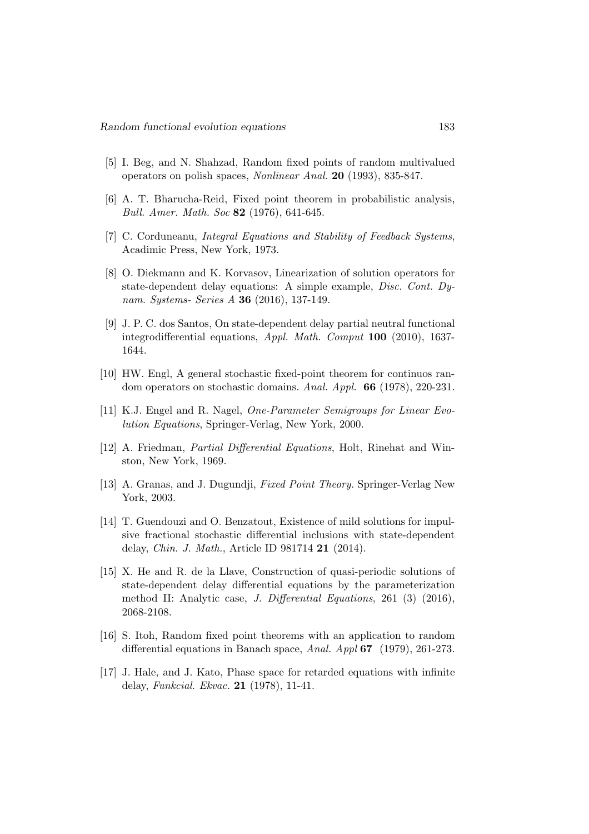- [5] I. Beg, and N. Shahzad, Random fixed points of random multivalued operators on polish spaces, Nonlinear Anal. 20 (1993), 835-847.
- [6] A. T. Bharucha-Reid, Fixed point theorem in probabilistic analysis, Bull. Amer. Math. Soc 82 (1976), 641-645.
- [7] C. Corduneanu, Integral Equations and Stability of Feedback Systems, Acadimic Press, New York, 1973.
- [8] O. Diekmann and K. Korvasov, Linearization of solution operators for state-dependent delay equations: A simple example, Disc. Cont. Dynam. Systems- Series A 36 (2016), 137-149.
- [9] J. P. C. dos Santos, On state-dependent delay partial neutral functional integrodifferential equations, Appl. Math. Comput 100 (2010), 1637- 1644.
- [10] HW. Engl, A general stochastic fixed-point theorem for continuos random operators on stochastic domains. Anal. Appl. 66 (1978), 220-231.
- [11] K.J. Engel and R. Nagel, One-Parameter Semigroups for Linear Evolution Equations, Springer-Verlag, New York, 2000.
- [12] A. Friedman, Partial Differential Equations, Holt, Rinehat and Winston, New York, 1969.
- [13] A. Granas, and J. Dugundji, *Fixed Point Theory*. Springer-Verlag New York, 2003.
- [14] T. Guendouzi and O. Benzatout, Existence of mild solutions for impulsive fractional stochastic differential inclusions with state-dependent delay, Chin. J. Math., Article ID 981714 21 (2014).
- [15] X. He and R. de la Llave, Construction of quasi-periodic solutions of state-dependent delay differential equations by the parameterization method II: Analytic case, J. Differential Equations, 261 (3) (2016), 2068-2108.
- [16] S. Itoh, Random fixed point theorems with an application to random differential equations in Banach space, Anal. Appl 67 (1979), 261-273.
- [17] J. Hale, and J. Kato, Phase space for retarded equations with infinite delay, Funkcial. Ekvac. 21 (1978), 11-41.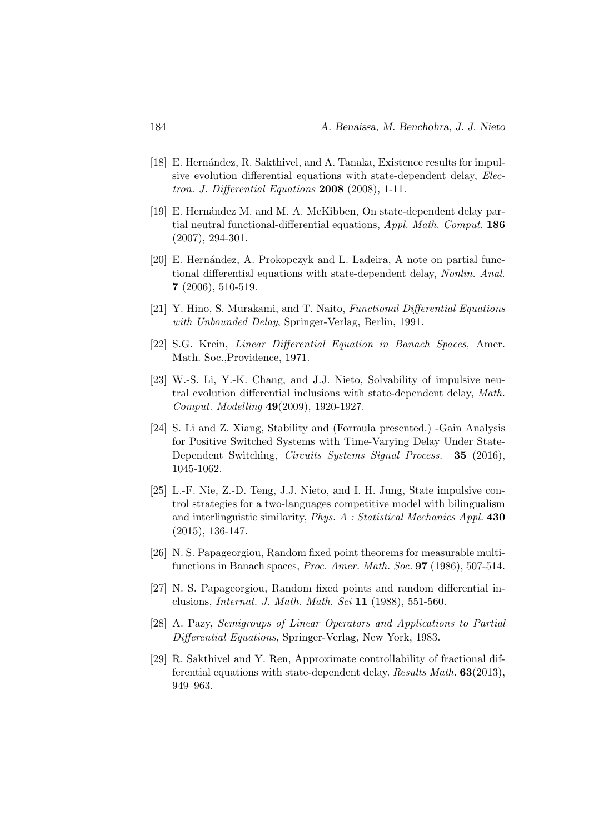- [18] E. Hernández, R. Sakthivel, and A. Tanaka, Existence results for impulsive evolution differential equations with state-dependent delay, Electron. J. Differential Equations 2008 (2008), 1-11.
- [19] E. Hernández M. and M. A. McKibben, On state-dependent delay partial neutral functional-differential equations, Appl. Math. Comput. 186 (2007), 294-301.
- [20] E. Hernández, A. Prokopczyk and L. Ladeira, A note on partial functional differential equations with state-dependent delay, Nonlin. Anal. 7 (2006), 510-519.
- [21] Y. Hino, S. Murakami, and T. Naito, Functional Differential Equations with Unbounded Delay, Springer-Verlag, Berlin, 1991.
- [22] S.G. Krein, Linear Differential Equation in Banach Spaces, Amer. Math. Soc.,Providence, 1971.
- [23] W.-S. Li, Y.-K. Chang, and J.J. Nieto, Solvability of impulsive neutral evolution differential inclusions with state-dependent delay, Math. Comput. Modelling 49(2009), 1920-1927.
- [24] S. Li and Z. Xiang, Stability and (Formula presented.) -Gain Analysis for Positive Switched Systems with Time-Varying Delay Under State-Dependent Switching, Circuits Systems Signal Process. **35** (2016), 1045-1062.
- [25] L.-F. Nie, Z.-D. Teng, J.J. Nieto, and I. H. Jung, State impulsive control strategies for a two-languages competitive model with bilingualism and interlinguistic similarity, *Phys. A : Statistical Mechanics Appl.* 430 (2015), 136-147.
- [26] N. S. Papageorgiou, Random fixed point theorems for measurable multifunctions in Banach spaces, Proc. Amer. Math. Soc. 97 (1986), 507-514.
- [27] N. S. Papageorgiou, Random fixed points and random differential inclusions, Internat. J. Math. Math. Sci 11 (1988), 551-560.
- [28] A. Pazy, Semigroups of Linear Operators and Applications to Partial Differential Equations, Springer-Verlag, New York, 1983.
- [29] R. Sakthivel and Y. Ren, Approximate controllability of fractional differential equations with state-dependent delay. Results Math. 63(2013), 949–963.